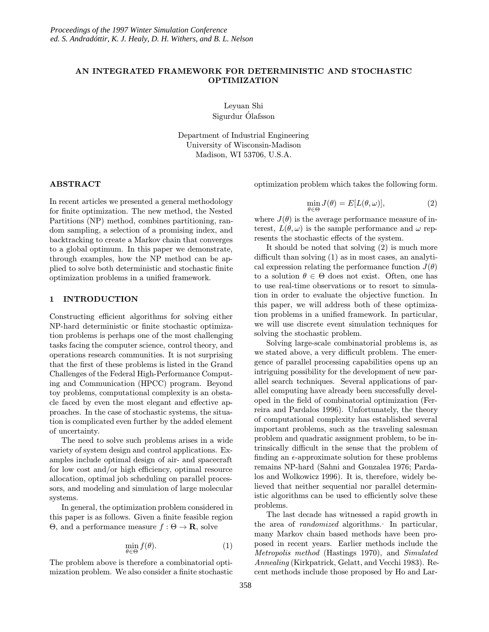## AN INTEGRATED FRAMEWORK FOR DETERMINISTIC AND STOCHASTIC OPTIMIZATION

Leyuan Shi Sigurdur Ólafsson

Department of Industrial Engineering University of Wisconsin-Madison Madison, WI 53706, U.S.A.

# ABSTRACT

In recent articles we presented a general methodology for finite optimization. The new method, the Nested Partitions (NP) method, combines partitioning, random sampling, a selection of a promising index, and backtracking to create a Markov chain that converges to a global optimum. In this paper we demonstrate, through examples, how the NP method can be applied to solve both deterministic and stochastic finite optimization problems in a unified framework.

### 1 INTRODUCTION

Constructing efficient algorithms for solving either NP-hard deterministic or finite stochastic optimization problems is perhaps one of the most challenging tasks facing the computer science, control theory, and operations research communities. It is not surprising that the first of these problems is listed in the Grand Challenges of the Federal High-Performance Computing and Communication (HPCC) program. Beyond toy problems, computational complexity is an obstacle faced by even the most elegant and effective approaches. In the case of stochastic systems, the situation is complicated even further by the added element of uncertainty.

The need to solve such problems arises in a wide variety of system design and control applications. Examples include optimal design of air- and spacecraft for low cost and/or high efficiency, optimal resource allocation, optimal job scheduling on parallel processors, and modeling and simulation of large molecular systems.

In general, the optimization problem considered in this paper is as follows. Given a finite feasible region Θ, and a performance measure  $f : Θ \rightarrow \mathbf{R}$ , solve

$$
\min_{\theta \in \Theta} f(\theta). \tag{1}
$$

The problem above is therefore a combinatorial optimization problem. We also consider a finite stochastic optimization problem which takes the following form.

$$
\min_{\theta \in \Theta} J(\theta) = E[L(\theta, \omega)],\tag{2}
$$

where  $J(\theta)$  is the average performance measure of interest,  $L(\theta, \omega)$  is the sample performance and  $\omega$  represents the stochastic effects of the system.

It should be noted that solving (2) is much more difficult than solving (1) as in most cases, an analytical expression relating the performance function  $J(\theta)$ to a solution  $\theta \in \Theta$  does not exist. Often, one has to use real-time observations or to resort to simulation in order to evaluate the objective function. In this paper, we will address both of these optimization problems in a unified framework. In particular, we will use discrete event simulation techniques for solving the stochastic problem.

Solving large-scale combinatorial problems is, as we stated above, a very difficult problem. The emergence of parallel processing capabilities opens up an intriguing possibility for the development of new parallel search techniques. Several applications of parallel computing have already been successfully developed in the field of combinatorial optimization (Ferreira and Pardalos 1996). Unfortunately, the theory of computational complexity has established several important problems, such as the traveling salesman problem and quadratic assignment problem, to be intrinsically difficult in the sense that the problem of finding an  $\epsilon$ -approximate solution for these problems remains NP-hard (Sahni and Gonzalea 1976; Pardalos and Wolkowicz 1996). It is, therefore, widely believed that neither sequential nor parallel deterministic algorithms can be used to efficiently solve these problems.

The last decade has witnessed a rapid growth in the area of randomized algorithms. In particular, many Markov chain based methods have been proposed in recent years. Earlier methods include the Metropolis method (Hastings 1970), and Simulated Annealing (Kirkpatrick, Gelatt, and Vecchi 1983). Recent methods include those proposed by Ho and Lar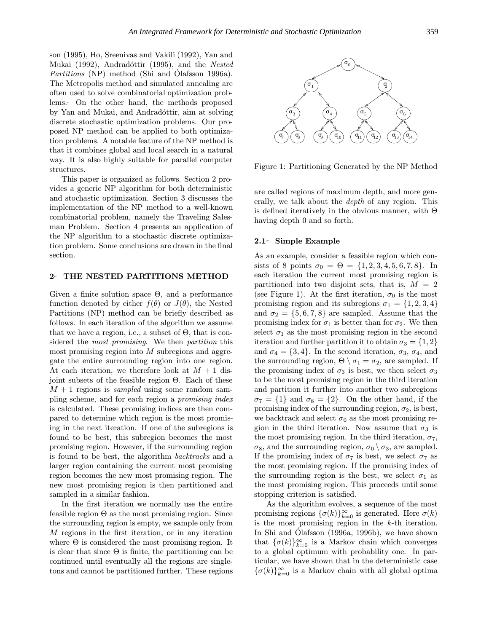son (1995), Ho, Sreenivas and Vakili (1992), Yan and Mukai (1992), Andradóttir (1995), and the Nested Partitions (NP) method (Shi and Ólafsson 1996a). The Metropolis method and simulated annealing are often used to solve combinatorial optimization problems. On the other hand, the methods proposed by Yan and Mukai, and Andradóttir, aim at solving discrete stochastic optimization problems. Our proposed NP method can be applied to both optimization problems. A notable feature of the NP method is that it combines global and local search in a natural way. It is also highly suitable for parallel computer structures.

This paper is organized as follows. Section 2 provides a generic NP algorithm for both deterministic and stochastic optimization. Section 3 discusses the implementation of the NP method to a well-known combinatorial problem, namely the Traveling Salesman Problem. Section 4 presents an application of the NP algorithm to a stochastic discrete optimization problem. Some conclusions are drawn in the final section.

### 2 THE NESTED PARTITIONS METHOD

Given a finite solution space  $\Theta$ , and a performance function denoted by either  $f(\theta)$  or  $J(\theta)$ , the Nested Partitions (NP) method can be briefly described as follows. In each iteration of the algorithm we assume that we have a region, i.e., a subset of  $\Theta$ , that is considered the most promising. We then partition this most promising region into  $M$  subregions and aggregate the entire surrounding region into one region. At each iteration, we therefore look at  $M + 1$  disjoint subsets of the feasible region  $\Theta$ . Each of these  $M + 1$  regions is *sampled* using some random sampling scheme, and for each region a promising index is calculated. These promising indices are then compared to determine which region is the most promising in the next iteration. If one of the subregions is found to be best, this subregion becomes the most promising region. However, if the surrounding region is found to be best, the algorithm backtracks and a larger region containing the current most promising region becomes the new most promising region. The new most promising region is then partitioned and sampled in a similar fashion.

In the first iteration we normally use the entire feasible region  $\Theta$  as the most promising region. Since the surrounding region is empty, we sample only from M regions in the first iteration, or in any iteration where  $\Theta$  is considered the most promising region. It is clear that since  $\Theta$  is finite, the partitioning can be continued until eventually all the regions are singletons and cannot be partitioned further. These regions



Figure 1: Partitioning Generated by the NP Method

are called regions of maximum depth, and more generally, we talk about the depth of any region. This is defined iteratively in the obvious manner, with Θ having depth 0 and so forth.

### 2.1 Simple Example

As an example, consider a feasible region which consists of 8 points  $\sigma_0 = \Theta = \{1, 2, 3, 4, 5, 6, 7, 8\}$ . In each iteration the current most promising region is partitioned into two disjoint sets, that is,  $M = 2$ (see Figure 1). At the first iteration,  $\sigma_0$  is the most promising region and its subregions  $\sigma_1 = \{1, 2, 3, 4\}$ and  $\sigma_2 = \{5, 6, 7, 8\}$  are sampled. Assume that the promising index for  $\sigma_1$  is better than for  $\sigma_2$ . We then select  $\sigma_1$  as the most promising region in the second iteration and further partition it to obtain  $\sigma_3 = \{1, 2\}$ and  $\sigma_4 = \{3, 4\}$ . In the second iteration,  $\sigma_3$ ,  $\sigma_4$ , and the surrounding region,  $\Theta \setminus \sigma_1 = \sigma_2$ , are sampled. If the promising index of  $\sigma_3$  is best, we then select  $\sigma_3$ to be the most promising region in the third iteration and partition it further into another two subregions  $\sigma_7 = \{1\}$  and  $\sigma_8 = \{2\}$ . On the other hand, if the promising index of the surrounding region,  $\sigma_2$ , is best, we backtrack and select  $\sigma_0$  as the most promising region in the third iteration. Now assume that  $\sigma_3$  is the most promising region. In the third iteration,  $\sigma_7$ ,  $\sigma_8$ , and the surrounding region,  $\sigma_0 \setminus \sigma_3$ , are sampled. If the promising index of  $\sigma_7$  is best, we select  $\sigma_7$  as the most promising region. If the promising index of the surrounding region is the best, we select  $\sigma_1$  as the most promising region. This proceeds until some stopping criterion is satisfied.

As the algorithm evolves, a sequence of the most promising regions  $\{\sigma(k)\}_{k=0}^{\infty}$  is generated. Here  $\sigma(k)$ is the most promising region in the  $k$ -th iteration. In Shi and Olafsson (1996a, 1996b), we have shown that  $\{\sigma(k)\}_{k=0}^{\infty}$  is a Markov chain which converges to a global optimum with probability one. In particular, we have shown that in the deterministic case  $\{\sigma(k)\}_{k=0}^{\infty}$  is a Markov chain with all global optima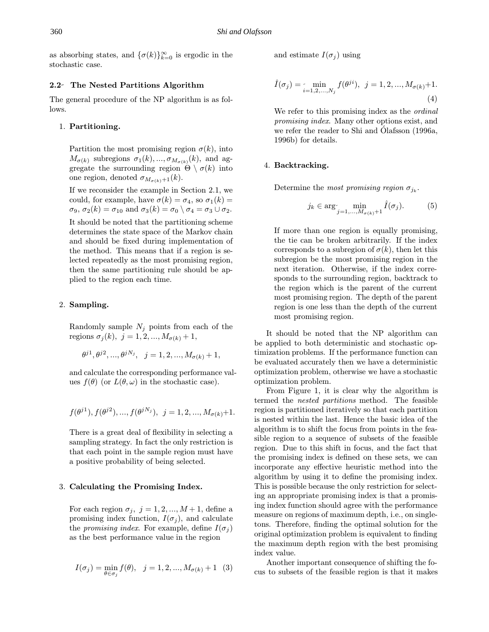as absorbing states, and  $\{\sigma(k)\}_{k=0}^{\infty}$  is ergodic in the stochastic case.

### 2.2 The Nested Partitions Algorithm

The general procedure of the NP algorithm is as follows.

## 1. Partitioning.

Partition the most promising region  $\sigma(k)$ , into  $M_{\sigma(k)}$  subregions  $\sigma_1(k), \ldots, \sigma_{M_{\sigma(k)}}(k)$ , and aggregate the surrounding region  $\Theta \setminus \sigma(k)$  into one region, denoted  $\sigma_{M_{\sigma(k)}+1}(k)$ .

If we reconsider the example in Section 2.1, we could, for example, have  $\sigma(k) = \sigma_4$ , so  $\sigma_1(k) =$  $\sigma_9, \sigma_2(k) = \sigma_{10} \text{ and } \sigma_3(k) = \sigma_0 \setminus \sigma_4 = \sigma_3 \cup \sigma_2.$ 

It should be noted that the partitioning scheme determines the state space of the Markov chain and should be fixed during implementation of the method. This means that if a region is selected repeatedly as the most promising region, then the same partitioning rule should be applied to the region each time.

## 2. Sampling.

Randomly sample  $N_i$  points from each of the regions  $\sigma_j(k)$ ,  $j = 1, 2, ..., M_{\sigma(k)} + 1$ ,

$$
\theta^{j1}, \theta^{j2}, ..., \theta^{jN_j}, \quad j = 1, 2, ..., M_{\sigma(k)} + 1,
$$

and calculate the corresponding performance values  $f(\theta)$  (or  $L(\theta,\omega)$  in the stochastic case).

$$
f(\theta^{j1}), f(\theta^{j2}), ..., f(\theta^{jN_j}), j = 1, 2, ..., M_{\sigma(k)}+1.
$$

There is a great deal of flexibility in selecting a sampling strategy. In fact the only restriction is that each point in the sample region must have a positive probability of being selected.

### 3. Calculating the Promising Index.

For each region  $\sigma_j$ ,  $j = 1, 2, ..., M + 1$ , define a promising index function,  $I(\sigma_i)$ , and calculate the promising index. For example, define  $I(\sigma_i)$ as the best performance value in the region

$$
I(\sigma_j) = \min_{\theta \in \sigma_j} f(\theta), \quad j = 1, 2, ..., M_{\sigma(k)} + 1 \quad (3)
$$

and estimate  $I(\sigma_j)$  using

$$
\hat{I}(\sigma_j) = \min_{i=1,2,\dots,N_j} f(\theta^{ji}), \ \ j = 1,2,\dots,M_{\sigma(k)}+1.
$$
\n(4)

We refer to this promising index as the *ordinal* promising index. Many other options exist, and we refer the reader to Shi and Ólafsson (1996a, 1996b) for details.

## 4. Backtracking.

Determine the most promising region  $\sigma_{jk}$ .

$$
j_k \in \arg\min_{j=1,\dots,M_{\sigma(k)}+1} \hat{I}(\sigma_j). \tag{5}
$$

If more than one region is equally promising, the tie can be broken arbitrarily. If the index corresponds to a subregion of  $\sigma(k)$ , then let this subregion be the most promising region in the next iteration. Otherwise, if the index corresponds to the surrounding region, backtrack to the region which is the parent of the current most promising region. The depth of the parent region is one less than the depth of the current most promising region.

It should be noted that the NP algorithm can be applied to both deterministic and stochastic optimization problems. If the performance function can be evaluated accurately then we have a deterministic optimization problem, otherwise we have a stochastic optimization problem.

From Figure 1, it is clear why the algorithm is termed the nested partitions method. The feasible region is partitioned iteratively so that each partition is nested within the last. Hence the basic idea of the algorithm is to shift the focus from points in the feasible region to a sequence of subsets of the feasible region. Due to this shift in focus, and the fact that the promising index is defined on these sets, we can incorporate any effective heuristic method into the algorithm by using it to define the promising index. This is possible because the only restriction for selecting an appropriate promising index is that a promising index function should agree with the performance measure on regions of maximum depth, i.e., on singletons. Therefore, finding the optimal solution for the original optimization problem is equivalent to finding the maximum depth region with the best promising index value.

Another important consequence of shifting the focus to subsets of the feasible region is that it makes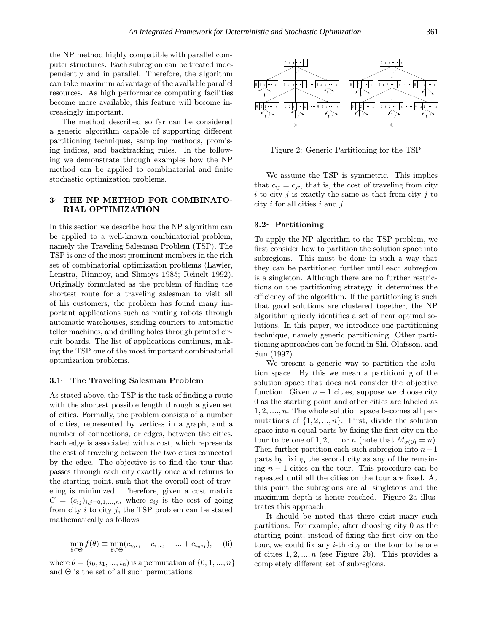the NP method highly compatible with parallel computer structures. Each subregion can be treated independently and in parallel. Therefore, the algorithm can take maximum advantage of the available parallel resources. As high performance computing facilities become more available, this feature will become increasingly important.

The method described so far can be considered a generic algorithm capable of supporting different partitioning techniques, sampling methods, promising indices, and backtracking rules. In the following we demonstrate through examples how the NP method can be applied to combinatorial and finite stochastic optimization problems.

## 3 THE NP METHOD FOR COMBINATO-RIAL OPTIMIZATION

In this section we describe how the NP algorithm can be applied to a well-known combinatorial problem, namely the Traveling Salesman Problem (TSP). The TSP is one of the most prominent members in the rich set of combinatorial optimization problems (Lawler, Lenstra, Rinnooy, and Shmoys 1985; Reinelt 1992). Originally formulated as the problem of finding the shortest route for a traveling salesman to visit all of his customers, the problem has found many important applications such as routing robots through automatic warehouses, sending couriers to automatic teller machines, and drilling holes through printed circuit boards. The list of applications continues, making the TSP one of the most important combinatorial optimization problems.

#### 3.1- The Traveling Salesman Problem

As stated above, the TSP is the task of finding a route with the shortest possible length through a given set of cities. Formally, the problem consists of a number of cities, represented by vertices in a graph, and a number of connections, or edges, between the cities. Each edge is associated with a cost, which represents the cost of traveling between the two cities connected by the edge. The objective is to find the tour that passes through each city exactly once and returns to the starting point, such that the overall cost of traveling is minimized. Therefore, given a cost matrix  $C = (c_{ij})_{i,j=0,1,...,n}$ , where  $c_{ij}$  is the cost of going from city  $i$  to city  $j$ , the TSP problem can be stated mathematically as follows

$$
\min_{\theta \in \Theta} f(\theta) \equiv \min_{\theta \in \Theta} (c_{i_0 i_1} + c_{i_1 i_2} + \dots + c_{i_n i_1}), \quad (6)
$$

where  $\theta = (i_0, i_1, ..., i_n)$  is a permutation of  $\{0, 1, ..., n\}$ and  $\Theta$  is the set of all such permutations.



Figure 2: Generic Partitioning for the TSP

We assume the TSP is symmetric. This implies that  $c_{ij} = c_{ji}$ , that is, the cost of traveling from city i to city j is exactly the same as that from city j to city i for all cities i and  $i$ .

#### 3.2 Partitioning

To apply the NP algorithm to the TSP problem, we first consider how to partition the solution space into subregions. This must be done in such a way that they can be partitioned further until each subregion is a singleton. Although there are no further restrictions on the partitioning strategy, it determines the efficiency of the algorithm. If the partitioning is such that good solutions are clustered together, the NP algorithm quickly identifies a set of near optimal solutions. In this paper, we introduce one partitioning technique, namely generic partitioning. Other partitioning approaches can be found in Shi, Olafsson, and Sun (1997).

We present a generic way to partition the solution space. By this we mean a partitioning of the solution space that does not consider the objective function. Given  $n + 1$  cities, suppose we choose city 0 as the starting point and other cities are labeled as  $1, 2, \ldots, n$ . The whole solution space becomes all permutations of  $\{1, 2, ..., n\}$ . First, divide the solution space into  $n$  equal parts by fixing the first city on the tour to be one of 1, 2, ..., or n (note that  $M_{\sigma(0)} = n$ ). Then further partition each such subregion into  $n-1$ parts by fixing the second city as any of the remaining  $n - 1$  cities on the tour. This procedure can be repeated until all the cities on the tour are fixed. At this point the subregions are all singletons and the maximum depth is hence reached. Figure 2a illustrates this approach.

It should be noted that there exist many such partitions. For example, after choosing city 0 as the starting point, instead of fixing the first city on the tour, we could fix any i-th city on the tour to be one of cities  $1, 2, ..., n$  (see Figure 2b). This provides a completely different set of subregions.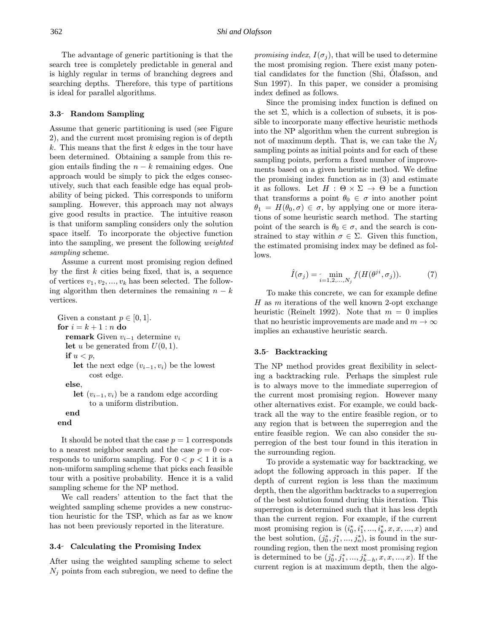The advantage of generic partitioning is that the search tree is completely predictable in general and is highly regular in terms of branching degrees and searching depths. Therefore, this type of partitions is ideal for parallel algorithms.

## 3.3 Random Sampling

Assume that generic partitioning is used (see Figure 2), and the current most promising region is of depth k. This means that the first  $k$  edges in the tour have been determined. Obtaining a sample from this region entails finding the  $n - k$  remaining edges. One approach would be simply to pick the edges consecutively, such that each feasible edge has equal probability of being picked. This corresponds to uniform sampling. However, this approach may not always give good results in practice. The intuitive reason is that uniform sampling considers only the solution space itself. To incorporate the objective function into the sampling, we present the following weighted sampling scheme.

Assume a current most promising region defined by the first  $k$  cities being fixed, that is, a sequence of vertices  $v_1, v_2, ..., v_k$  has been selected. The following algorithm then determines the remaining  $n - k$ vertices.

```
Given a constant p \in [0, 1].
for i = k + 1 : n do
  remark Given v_{i-1} determine v_ilet u be generated from U(0, 1).
  if u < p,
    let the next edge (v_{i-1}, v_i) be the lowest
         cost edge.
  else,
    let (v_{i-1}, v_i) be a random edge according
         to a uniform distribution.
  end
end
```
It should be noted that the case  $p = 1$  corresponds to a nearest neighbor search and the case  $p = 0$  corresponds to uniform sampling. For  $0 < p < 1$  it is a non-uniform sampling scheme that picks each feasible tour with a positive probability. Hence it is a valid sampling scheme for the NP method.

We call readers' attention to the fact that the weighted sampling scheme provides a new construction heuristic for the TSP, which as far as we know has not been previously reported in the literature.

#### 3.4 Calculating the Promising Index

After using the weighted sampling scheme to select  $N_i$  points from each subregion, we need to define the *promising index,*  $I(\sigma_j)$ , that will be used to determine the most promising region. There exist many potential candidates for the function (Shi, Olafsson, and Sun 1997). In this paper, we consider a promising index defined as follows.

Since the promising index function is defined on the set  $\Sigma$ , which is a collection of subsets, it is possible to incorporate many effective heuristic methods into the NP algorithm when the current subregion is not of maximum depth. That is, we can take the  $N_i$ sampling points as initial points and for each of these sampling points, perform a fixed number of improvements based on a given heuristic method. We define the promising index function as in (3) and estimate it as follows. Let  $H : \Theta \times \Sigma \to \Theta$  be a function that transforms a point  $\theta_0 \in \sigma$  into another point  $\theta_1 = H(\theta_0, \sigma) \in \sigma$ , by applying one or more iterations of some heuristic search method. The starting point of the search is  $\theta_0 \in \sigma$ , and the search is constrained to stay within  $\sigma \in \Sigma$ . Given this function, the estimated promising index may be defined as follows.

$$
\hat{I}(\sigma_j) = \min_{i=1,2,\dots,N_j} f(H(\theta^{ji}, \sigma_j)).\tag{7}
$$

To make this concrete, we can for example define  $H$  as  $m$  iterations of the well known 2-opt exchange heuristic (Reinelt 1992). Note that  $m = 0$  implies that no heuristic improvements are made and  $m \to \infty$ implies an exhaustive heuristic search.

## 3.5 Backtracking

The NP method provides great flexibility in selecting a backtracking rule. Perhaps the simplest rule is to always move to the immediate superregion of the current most promising region. However many other alternatives exist. For example, we could backtrack all the way to the entire feasible region, or to any region that is between the superregion and the entire feasible region. We can also consider the superregion of the best tour found in this iteration in the surrounding region.

To provide a systematic way for backtracking, we adopt the following approach in this paper. If the depth of current region is less than the maximum depth, then the algorithm backtracks to a superregion of the best solution found during this iteration. This superregion is determined such that it has less depth than the current region. For example, if the current most promising region is  $(i_0^*, i_1^*, ..., i_k^*, x, x, ..., x)$  and the best solution,  $(j_0^*, j_1^*, ..., j_n^*)$ , is found in the surrounding region, then the next most promising region is determined to be  $(j_0^*, j_1^*, ..., j_{k-h}^*, x, x, ..., x)$ . If the current region is at maximum depth, then the algo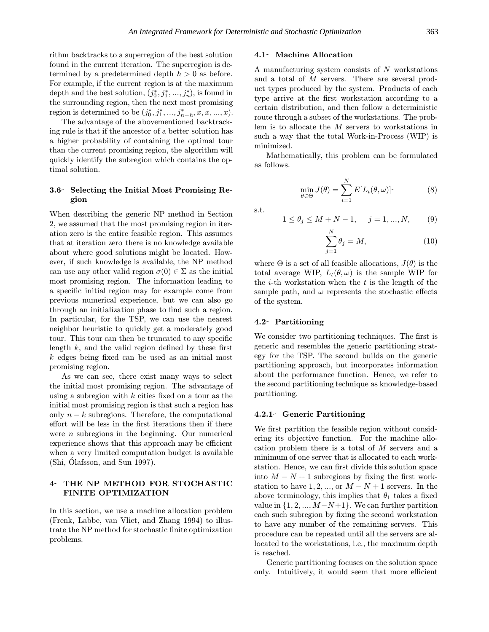rithm backtracks to a superregion of the best solution found in the current iteration. The superregion is determined by a predetermined depth  $h > 0$  as before. For example, if the current region is at the maximum depth and the best solution,  $(j_0^*, j_1^*, ..., j_n^*)$ , is found in the surrounding region, then the next most promising region is determined to be  $(j_0^*, j_1^*, ..., j_{n-h}^*, x, x, ..., x)$ .

The advantage of the abovementioned backtracking rule is that if the ancestor of a better solution has a higher probability of containing the optimal tour than the current promising region, the algorithm will quickly identify the subregion which contains the optimal solution.

# 3.6 Selecting the Initial Most Promising Region

When describing the generic NP method in Section 2, we assumed that the most promising region in iteration zero is the entire feasible region. This assumes that at iteration zero there is no knowledge available about where good solutions might be located. However, if such knowledge is available, the NP method can use any other valid region  $\sigma(0) \in \Sigma$  as the initial most promising region. The information leading to a specific initial region may for example come from previous numerical experience, but we can also go through an initialization phase to find such a region. In particular, for the TSP, we can use the nearest neighbor heuristic to quickly get a moderately good tour. This tour can then be truncated to any specific length  $k$ , and the valid region defined by these first k edges being fixed can be used as an initial most promising region.

As we can see, there exist many ways to select the initial most promising region. The advantage of using a subregion with  $k$  cities fixed on a tour as the initial most promising region is that such a region has only  $n - k$  subregions. Therefore, the computational effort will be less in the first iterations then if there were  $n$  subregions in the beginning. Our numerical experience shows that this approach may be efficient when a very limited computation budget is available  $(Shi, Olafsson, and Sun 1997).$ 

## 4 THE NP METHOD FOR STOCHASTIC FINITE OPTIMIZATION

In this section, we use a machine allocation problem (Frenk, Labbe, van Vliet, and Zhang 1994) to illustrate the NP method for stochastic finite optimization problems.

#### 4.1 Machine Allocation

A manufacturing system consists of N workstations and a total of M servers. There are several product types produced by the system. Products of each type arrive at the first workstation according to a certain distribution, and then follow a deterministic route through a subset of the workstations. The problem is to allocate the M servers to workstations in such a way that the total Work-in-Process (WIP) is minimized.

Mathematically, this problem can be formulated as follows.

$$
\min_{\theta \in \Theta} J(\theta) = \sum_{i=1}^{N} E[L_t(\theta, \omega)] \tag{8}
$$

s.t.

$$
1 \le \theta_j \le M + N - 1, \quad j = 1, ..., N,
$$
 (9)

$$
\sum_{j=1}^{N} \theta_j = M,\tag{10}
$$

where  $\Theta$  is a set of all feasible allocations,  $J(\theta)$  is the total average WIP,  $L_t(\theta, \omega)$  is the sample WIP for the  $i$ -th workstation when the  $t$  is the length of the sample path, and  $\omega$  represents the stochastic effects of the system.

#### 4.2 Partitioning

We consider two partitioning techniques. The first is generic and resembles the generic partitioning strategy for the TSP. The second builds on the generic partitioning approach, but incorporates information about the performance function. Hence, we refer to the second partitioning technique as knowledge-based partitioning.

#### 4.2.1 Generic Partitioning

We first partition the feasible region without considering its objective function. For the machine allocation problem there is a total of M servers and a minimum of one server that is allocated to each workstation. Hence, we can first divide this solution space into  $M - N + 1$  subregions by fixing the first workstation to have  $1, 2, ...,$  or  $M - N + 1$  servers. In the above terminology, this implies that  $\theta_1$  takes a fixed value in  $\{1, 2, ..., M-N+1\}$ . We can further partition each such subregion by fixing the second workstation to have any number of the remaining servers. This procedure can be repeated until all the servers are allocated to the workstations, i.e., the maximum depth is reached.

Generic partitioning focuses on the solution space only. Intuitively, it would seem that more efficient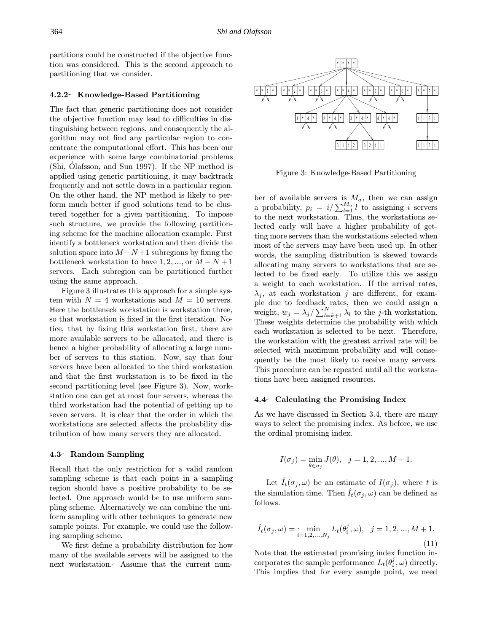partitions could be constructed if the objective function was considered. This is the second approach to partitioning that we consider.

## 4.2.2 Knowledge-Based Partitioning

The fact that generic partitioning does not consider the objective function may lead to difficulties in distinguishing between regions, and consequently the algorithm may not find any particular region to concentrate the computational effort. This has been our experience with some large combinatorial problems (Shi, Ólafsson, and Sun 1997). If the NP method is applied using generic partitioning, it may backtrack frequently and not settle down in a particular region. On the other hand, the NP method is likely to perform much better if good solutions tend to be clustered together for a given partitioning. To impose such structure, we provide the following partitioning scheme for the machine allocation example. First identify a bottleneck workstation and then divide the solution space into  $M - N + 1$  subregions by fixing the bottleneck workstation to have  $1, 2, ...,$  or  $M - N + 1$ servers. Each subregion can be partitioned further using the same approach.

Figure 3 illustrates this approach for a simple system with  $N = 4$  workstations and  $M = 10$  servers. Here the bottleneck workstation is workstation three, so that workstation is fixed in the first iteration. Notice, that by fixing this workstation first, there are more available servers to be allocated, and there is hence a higher probability of allocating a large number of servers to this station. Now, say that four servers have been allocated to the third workstation and that the first workstation is to be fixed in the second partitioning level (see Figure 3). Now, workstation one can get at most four servers, whereas the third workstation had the potential of getting up to seven servers. It is clear that the order in which the workstations are selected affects the probability distribution of how many servers they are allocated.

#### 4.3 Random Sampling

Recall that the only restriction for a valid random sampling scheme is that each point in a sampling region should have a positive probability to be selected. One approach would be to use uniform sampling scheme. Alternatively we can combine the uniform sampling with other techniques to generate new sample points. For example, we could use the following sampling scheme.

We first define a probability distribution for how many of the available servers will be assigned to the next workstation. Assume that the current num-



Figure 3: Knowledge-Based Partitioning

ber of available servers is  $M_a$ , then we can assign a probability,  $p_i = i / \sum_{l=1}^{M_a} l$  to assigning i servers to the next workstation. Thus, the workstations selected early will have a higher probability of getting more servers than the workstations selected when most of the servers may have been used up. In other words, the sampling distribution is skewed towards allocating many servers to workstations that are selected to be fixed early. To utilize this we assign a weight to each workstation. If the arrival rates,  $\lambda_i$ , at each workstation j are different, for example due to feedback rates, then we could assign a weight,  $w_j = \lambda_j / \sum_{l=k+1}^{N} \lambda_l$  to the *j*-th workstation. These weights determine the probability with which each workstation is selected to be next. Therefore, the workstation with the greatest arrival rate will be selected with maximum probability and will consequently be the most likely to receive many servers. This procedure can be repeated until all the workstations have been assigned resources.

## 4.4 Calculating the Promising Index

As we have discussed in Section 3.4, there are many ways to select the promising index. As before, we use the ordinal promising index.

$$
I(\sigma_j) = \min_{\theta \in \sigma_j} J(\theta), \ \ j = 1, 2, ..., M + 1.
$$

Let  $\hat{I}_t(\sigma_j, \omega)$  be an estimate of  $I(\sigma_j)$ , where t is the simulation time. Then  $\hat{I}_t(\sigma_j, \omega)$  can be defined as follows.

$$
\hat{I}_t(\sigma_j, \omega) = \min_{i=1,2,\dots,N_j} L_t(\theta_i^j, \omega), \ \ j = 1,2,\dots,M+1.
$$
\n(11)

Note that the estimated promising index function incorporates the sample performance  $L_t(\theta_i^j, \omega)$  directly. This implies that for every sample point, we need